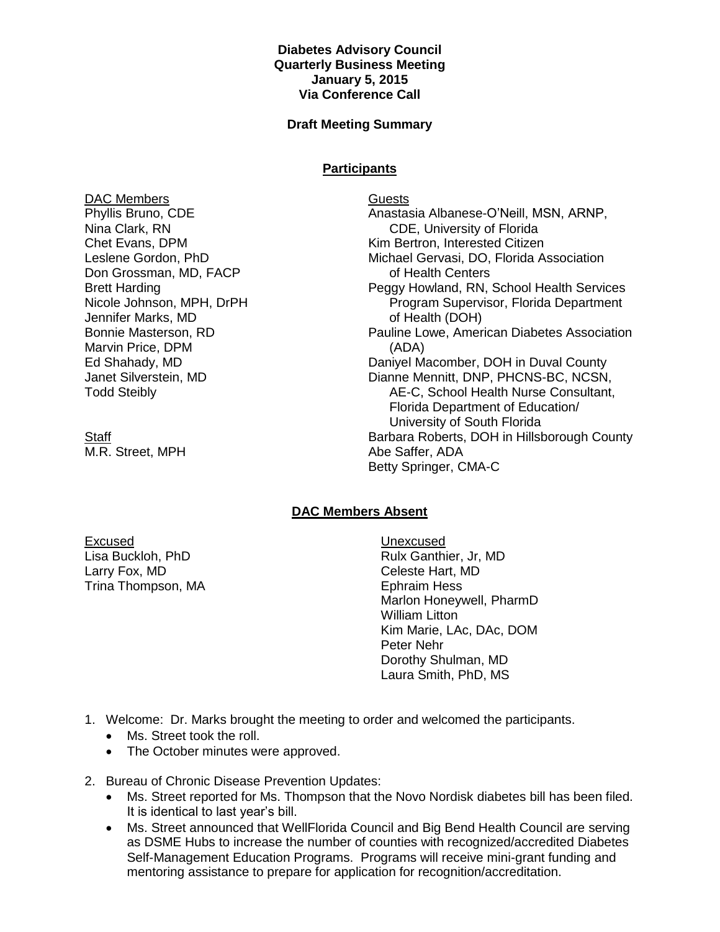## **Diabetes Advisory Council Quarterly Business Meeting January 5, 2015 Via Conference Call**

## **Draft Meeting Summary**

## **Participants**

DAC Members Phyllis Bruno, CDE Nina Clark, RN Chet Evans, DPM Leslene Gordon, PhD Don Grossman, MD, FACP Brett Harding Nicole Johnson, MPH, DrPH Jennifer Marks, MD Bonnie Masterson, RD Marvin Price, DPM Ed Shahady, MD Janet Silverstein, MD Todd Steibly

**Staff** M.R. Street, MPH Guests Anastasia Albanese-O'Neill, MSN, ARNP, CDE, University of Florida Kim Bertron, Interested Citizen Michael Gervasi, DO, Florida Association of Health Centers Peggy Howland, RN, School Health Services Program Supervisor, Florida Department of Health (DOH) Pauline Lowe, American Diabetes Association (ADA) Daniyel Macomber, DOH in Duval County Dianne Mennitt, DNP, PHCNS-BC, NCSN, AE-C, School Health Nurse Consultant, Florida Department of Education/ University of South Florida Barbara Roberts, DOH in Hillsborough County Abe Saffer, ADA Betty Springer, CMA-C

## **DAC Members Absent**

Excused Lisa Buckloh, PhD Larry Fox, MD Trina Thompson, MA Unexcused Rulx Ganthier, Jr, MD Celeste Hart, MD Ephraim Hess Marlon Honeywell, PharmD William Litton Kim Marie, LAc, DAc, DOM Peter Nehr Dorothy Shulman, MD Laura Smith, PhD, MS

- 1. Welcome: Dr. Marks brought the meeting to order and welcomed the participants.
	- Ms. Street took the roll.
	- The October minutes were approved.
- 2. Bureau of Chronic Disease Prevention Updates:
	- Ms. Street reported for Ms. Thompson that the Novo Nordisk diabetes bill has been filed. It is identical to last year's bill.
	- Ms. Street announced that WellFlorida Council and Big Bend Health Council are serving as DSME Hubs to increase the number of counties with recognized/accredited Diabetes Self-Management Education Programs. Programs will receive mini-grant funding and mentoring assistance to prepare for application for recognition/accreditation.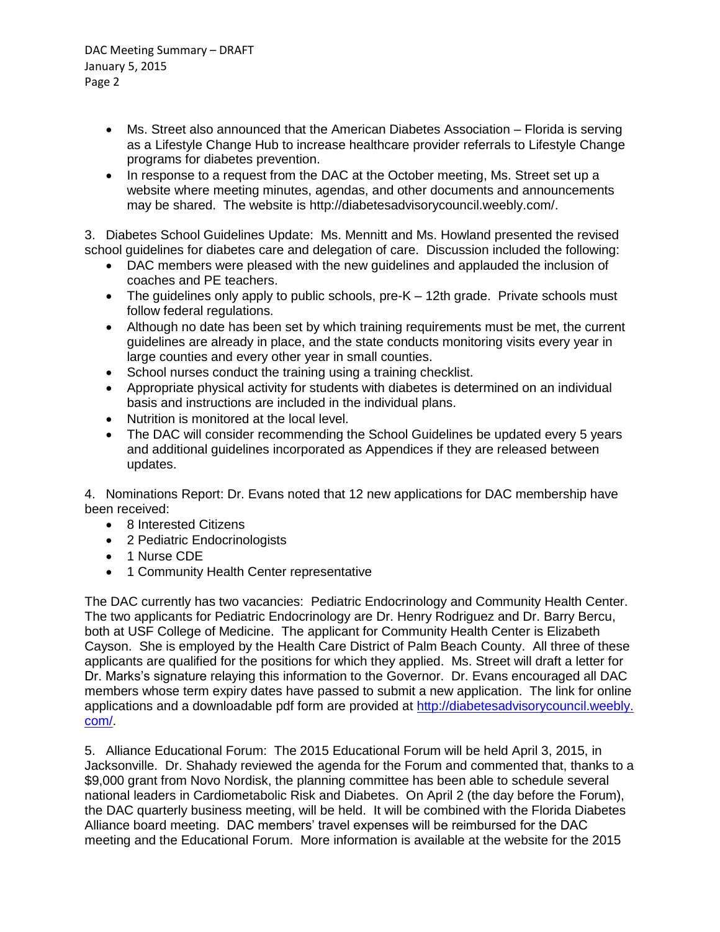- Ms. Street also announced that the American Diabetes Association Florida is serving as a Lifestyle Change Hub to increase healthcare provider referrals to Lifestyle Change programs for diabetes prevention.
- In response to a request from the DAC at the October meeting, Ms. Street set up a website where meeting minutes, agendas, and other documents and announcements may be shared. The website is http://diabetesadvisorycouncil.weebly.com/.

3. Diabetes School Guidelines Update: Ms. Mennitt and Ms. Howland presented the revised school guidelines for diabetes care and delegation of care. Discussion included the following:

- DAC members were pleased with the new guidelines and applauded the inclusion of coaches and PE teachers.
- The guidelines only apply to public schools, pre-K 12th grade. Private schools must follow federal regulations.
- Although no date has been set by which training requirements must be met, the current guidelines are already in place, and the state conducts monitoring visits every year in large counties and every other year in small counties.
- School nurses conduct the training using a training checklist.
- Appropriate physical activity for students with diabetes is determined on an individual basis and instructions are included in the individual plans.
- Nutrition is monitored at the local level.
- The DAC will consider recommending the School Guidelines be updated every 5 years and additional guidelines incorporated as Appendices if they are released between updates.

4. Nominations Report: Dr. Evans noted that 12 new applications for DAC membership have been received:

- 8 Interested Citizens
- 2 Pediatric Endocrinologists
- 1 Nurse CDE
- 1 Community Health Center representative

The DAC currently has two vacancies: Pediatric Endocrinology and Community Health Center. The two applicants for Pediatric Endocrinology are Dr. Henry Rodriguez and Dr. Barry Bercu, both at USF College of Medicine. The applicant for Community Health Center is Elizabeth Cayson. She is employed by the Health Care District of Palm Beach County. All three of these applicants are qualified for the positions for which they applied. Ms. Street will draft a letter for Dr. Marks's signature relaying this information to the Governor. Dr. Evans encouraged all DAC members whose term expiry dates have passed to submit a new application. The link for online applications and a downloadable pdf form are provided at [http://diabetesadvisorycouncil.weebly.](http://diabetesadvisorycouncil.weebly.com/) [com/.](http://diabetesadvisorycouncil.weebly.com/)

5. Alliance Educational Forum: The 2015 Educational Forum will be held April 3, 2015, in Jacksonville. Dr. Shahady reviewed the agenda for the Forum and commented that, thanks to a \$9,000 grant from Novo Nordisk, the planning committee has been able to schedule several national leaders in Cardiometabolic Risk and Diabetes. On April 2 (the day before the Forum), the DAC quarterly business meeting, will be held. It will be combined with the Florida Diabetes Alliance board meeting. DAC members' travel expenses will be reimbursed for the DAC meeting and the Educational Forum. More information is available at the website for the 2015